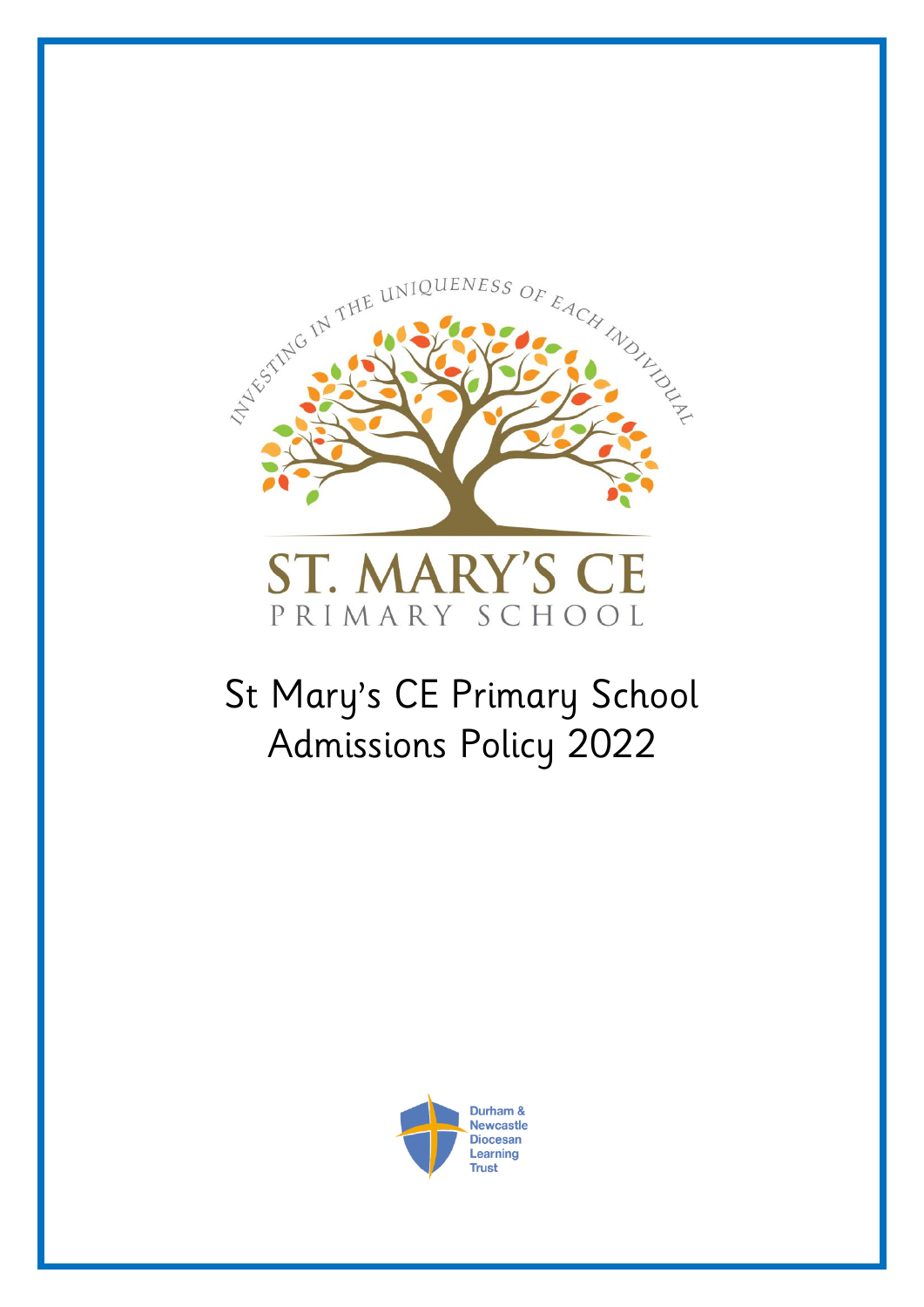

# St Mary's CE Primary School Admissions Policy 2022

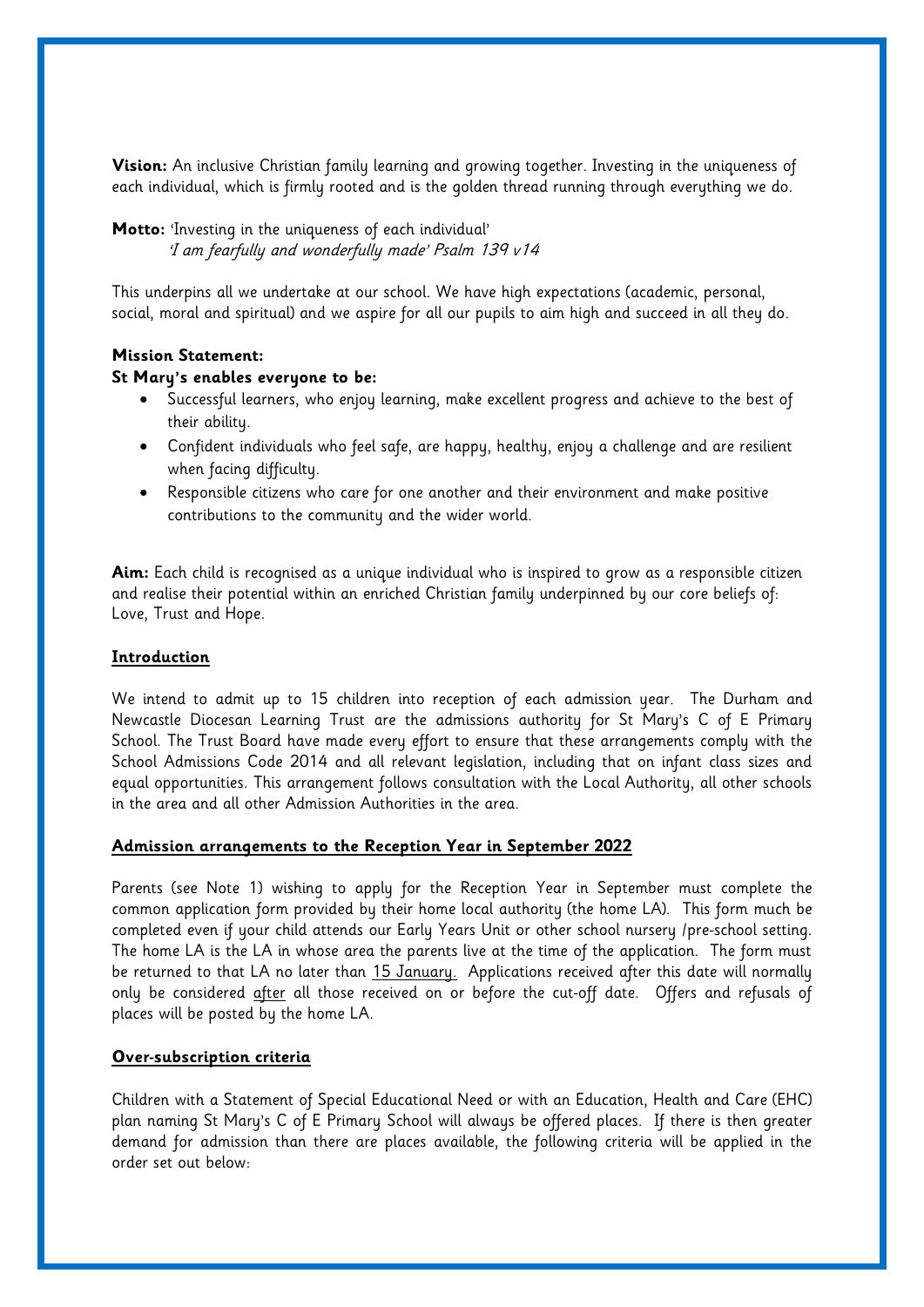**Vision:** An inclusive Christian family learning and growing together. Investing in the uniqueness of each individual, which is firmly rooted and is the golden thread running through everything we do.

**Motto:** 'Investing in the uniqueness of each individual' 'I am fearfully and wonderfully made' Psalm 139 v14

This underpins all we undertake at our school. We have high expectations (academic, personal, social, moral and spiritual) and we aspire for all our pupils to aim high and succeed in all they do.

# **Mission Statement:**

### **St Mary's enables everyone to be:**

- Successful learners, who enjoy learning, make excellent progress and achieve to the best of their ability.
- Confident individuals who feel safe, are happy, healthy, enjoy a challenge and are resilient when facing difficulty.
- Responsible citizens who care for one another and their environment and make positive contributions to the community and the wider world.

**Aim:** Each child is recognised as a unique individual who is inspired to grow as a responsible citizen and realise their potential within an enriched Christian family underpinned by our core beliefs of: Love, Trust and Hope.

#### **Introduction**

We intend to admit up to 15 children into reception of each admission year. The Durham and Newcastle Diocesan Learning Trust are the admissions authority for St Mary's C of E Primary School. The Trust Board have made every effort to ensure that these arrangements comply with the School Admissions Code 2014 and all relevant legislation, including that on infant class sizes and equal opportunities. This arrangement follows consultation with the Local Authority, all other schools in the area and all other Admission Authorities in the area.

### **Admission arrangements to the Reception Year in September 2022**

Parents (see Note 1) wishing to apply for the Reception Year in September must complete the common application form provided by their home local authority (the home LA). This form much be completed even if your child attends our Early Years Unit or other school nursery /pre-school setting. The home LA is the LA in whose area the parents live at the time of the application. The form must be returned to that LA no later than 15 January. Applications received after this date will normally only be considered after all those received on or before the cut-off date. Offers and refusals of places will be posted by the home LA.

### **Over-subscription criteria**

Children with a Statement of Special Educational Need or with an Education, Health and Care (EHC) plan naming St Mary's C of E Primary School will always be offered places. If there is then greater demand for admission than there are places available, the following criteria will be applied in the order set out below: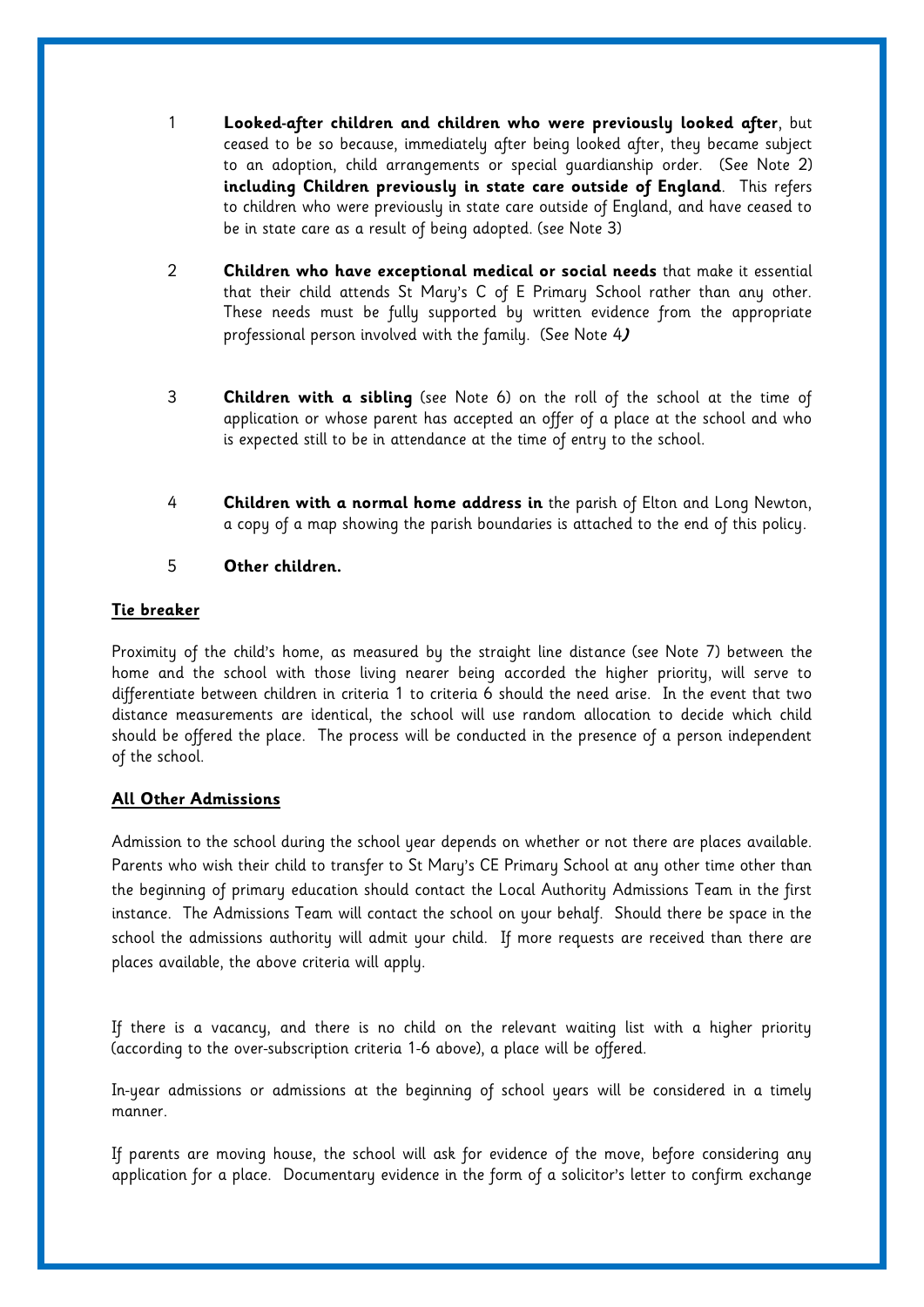- 1 **Looked-after children and children who were previously looked after**, but ceased to be so because, immediately after being looked after, they became subject to an adoption, child arrangements or special guardianship order. (See Note 2) **including Children previously in state care outside of England**. This refers to children who were previously in state care outside of England, and have ceased to be in state care as a result of being adopted. (see Note 3)
- 2 **Children who have exceptional medical or social needs** that make it essential that their child attends St Mary's C of E Primary School rather than any other. These needs must be fully supported by written evidence from the appropriate professional person involved with the family. (See Note 4**)**
- 3 **Children with a sibling** (see Note 6) on the roll of the school at the time of application or whose parent has accepted an offer of a place at the school and who is expected still to be in attendance at the time of entry to the school.
- 4 **Children with a normal home address in** the parish of Elton and Long Newton, a copy of a map showing the parish boundaries is attached to the end of this policy.
- 5 **Other children.**

# **Tie breaker**

Proximity of the child's home, as measured by the straight line distance (see Note 7) between the home and the school with those living nearer being accorded the higher priority, will serve to differentiate between children in criteria 1 to criteria 6 should the need arise. In the event that two distance measurements are identical, the school will use random allocation to decide which child should be offered the place. The process will be conducted in the presence of a person independent of the school.

## **All Other Admissions**

Admission to the school during the school year depends on whether or not there are places available. Parents who wish their child to transfer to St Mary's CE Primary School at any other time other than the beginning of primary education should contact the Local Authority Admissions Team in the first instance. The Admissions Team will contact the school on your behalf. Should there be space in the school the admissions authority will admit your child. If more requests are received than there are places available, the above criteria will apply.

If there is a vacancy, and there is no child on the relevant waiting list with a higher priority (according to the over-subscription criteria 1-6 above), a place will be offered.

In-year admissions or admissions at the beginning of school years will be considered in a timely manner.

If parents are moving house, the school will ask for evidence of the move, before considering any application for a place. Documentary evidence in the form of a solicitor's letter to confirm exchange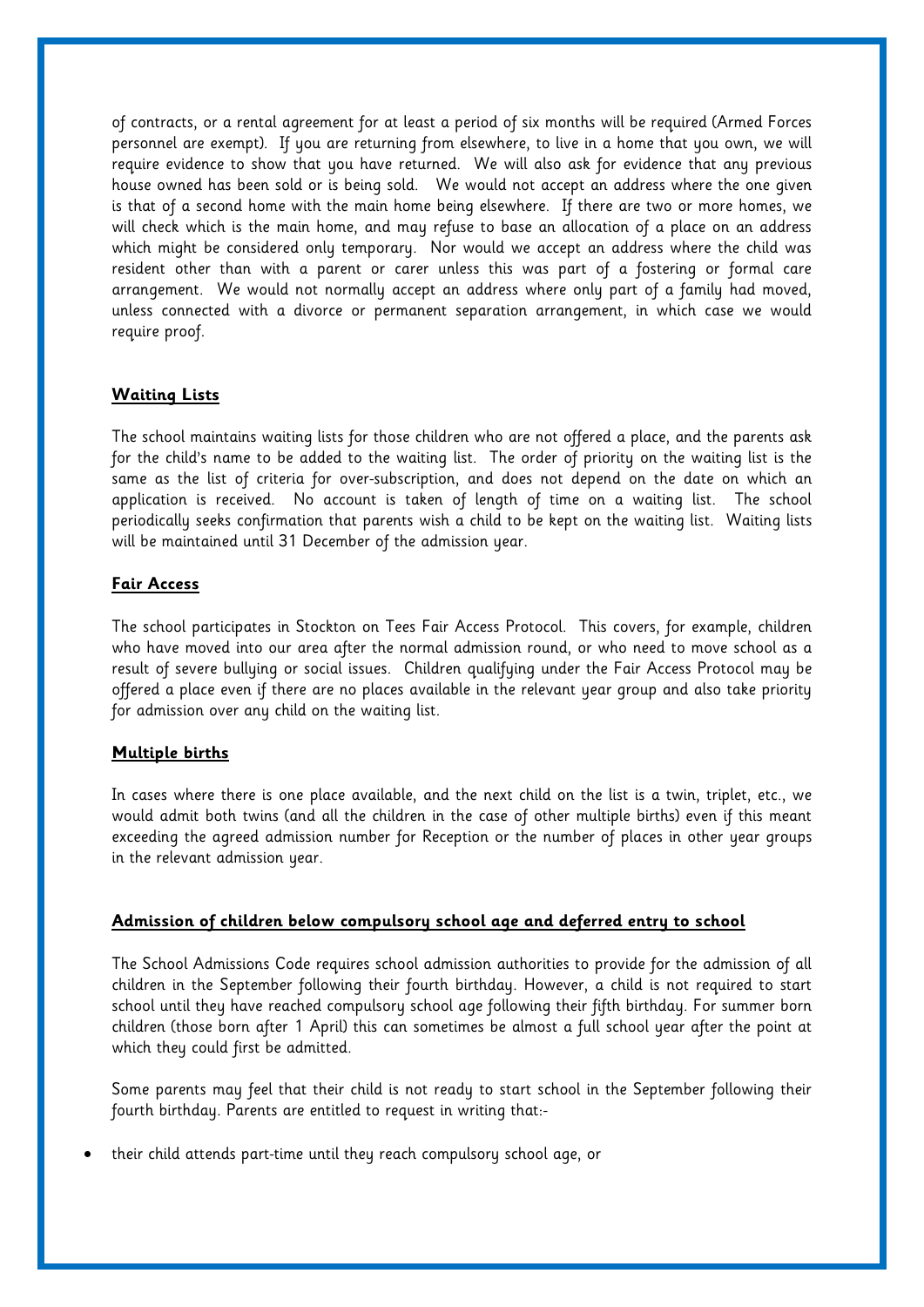of contracts, or a rental agreement for at least a period of six months will be required (Armed Forces personnel are exempt). If you are returning from elsewhere, to live in a home that you own, we will require evidence to show that you have returned. We will also ask for evidence that any previous house owned has been sold or is being sold. We would not accept an address where the one given is that of a second home with the main home being elsewhere. If there are two or more homes, we will check which is the main home, and may refuse to base an allocation of a place on an address which might be considered only temporary. Nor would we accept an address where the child was resident other than with a parent or carer unless this was part of a fostering or formal care arrangement. We would not normally accept an address where only part of a family had moved, unless connected with a divorce or permanent separation arrangement, in which case we would require proof.

# **Waiting Lists**

The school maintains waiting lists for those children who are not offered a place, and the parents ask for the child's name to be added to the waiting list. The order of priority on the waiting list is the same as the list of criteria for over-subscription, and does not depend on the date on which an application is received. No account is taken of length of time on a waiting list. The school periodically seeks confirmation that parents wish a child to be kept on the waiting list. Waiting lists will be maintained until 31 December of the admission year.

# **Fair Access**

The school participates in Stockton on Tees Fair Access Protocol. This covers, for example, children who have moved into our area after the normal admission round, or who need to move school as a result of severe bullying or social issues. Children qualifying under the Fair Access Protocol may be offered a place even if there are no places available in the relevant year group and also take priority for admission over any child on the waiting list.

## **Multiple births**

In cases where there is one place available, and the next child on the list is a twin, triplet, etc., we would admit both twins (and all the children in the case of other multiple births) even if this meant exceeding the agreed admission number for Reception or the number of places in other year groups in the relevant admission year.

## **Admission of children below compulsory school age and deferred entry to school**

The School Admissions Code requires school admission authorities to provide for the admission of all children in the September following their fourth birthday. However, a child is not required to start school until they have reached compulsory school age following their fifth birthday. For summer born children (those born after 1 April) this can sometimes be almost a full school year after the point at which they could first be admitted.

Some parents may feel that their child is not ready to start school in the September following their fourth birthday. Parents are entitled to request in writing that:-

• their child attends part-time until they reach compulsory school age, or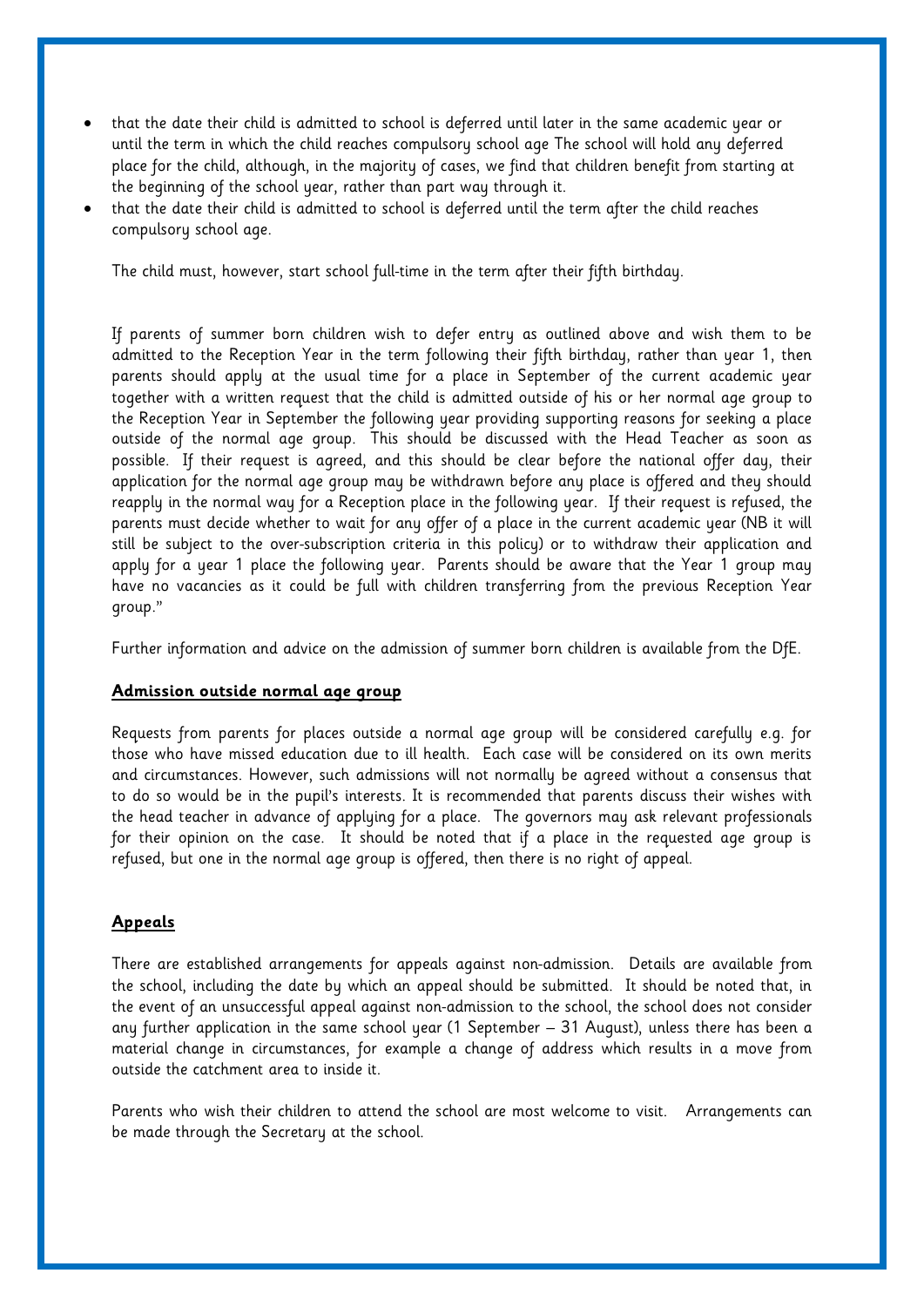- that the date their child is admitted to school is deferred until later in the same academic year or until the term in which the child reaches compulsory school age The school will hold any deferred place for the child, although, in the majority of cases, we find that children benefit from starting at the beginning of the school year, rather than part way through it.
- that the date their child is admitted to school is deferred until the term after the child reaches compulsory school age.

The child must, however, start school full-time in the term after their fifth birthday.

If parents of summer born children wish to defer entry as outlined above and wish them to be admitted to the Reception Year in the term following their fifth birthday, rather than year 1, then parents should apply at the usual time for a place in September of the current academic year together with a written request that the child is admitted outside of his or her normal age group to the Reception Year in September the following year providing supporting reasons for seeking a place outside of the normal age group. This should be discussed with the Head Teacher as soon as possible. If their request is agreed, and this should be clear before the national offer day, their application for the normal age group may be withdrawn before any place is offered and they should reapply in the normal way for a Reception place in the following year. If their request is refused, the parents must decide whether to wait for any offer of a place in the current academic year (NB it will still be subject to the over-subscription criteria in this policy) or to withdraw their application and apply for a year 1 place the following year. Parents should be aware that the Year 1 group may have no vacancies as it could be full with children transferring from the previous Reception Year group."

Further information and advice on the admission of summer born children is available from the DfE.

## **Admission outside normal age group**

Requests from parents for places outside a normal age group will be considered carefully e.g. for those who have missed education due to ill health. Each case will be considered on its own merits and circumstances. However, such admissions will not normally be agreed without a consensus that to do so would be in the pupil's interests. It is recommended that parents discuss their wishes with the head teacher in advance of applying for a place. The governors may ask relevant professionals for their opinion on the case. It should be noted that if a place in the requested age group is refused, but one in the normal age group is offered, then there is no right of appeal.

### **Appeals**

There are established arrangements for appeals against non-admission. Details are available from the school, including the date by which an appeal should be submitted. It should be noted that, in the event of an unsuccessful appeal against non-admission to the school, the school does not consider any further application in the same school year (1 September – 31 August), unless there has been a material change in circumstances, for example a change of address which results in a move from outside the catchment area to inside it.

Parents who wish their children to attend the school are most welcome to visit. Arrangements can be made through the Secretary at the school.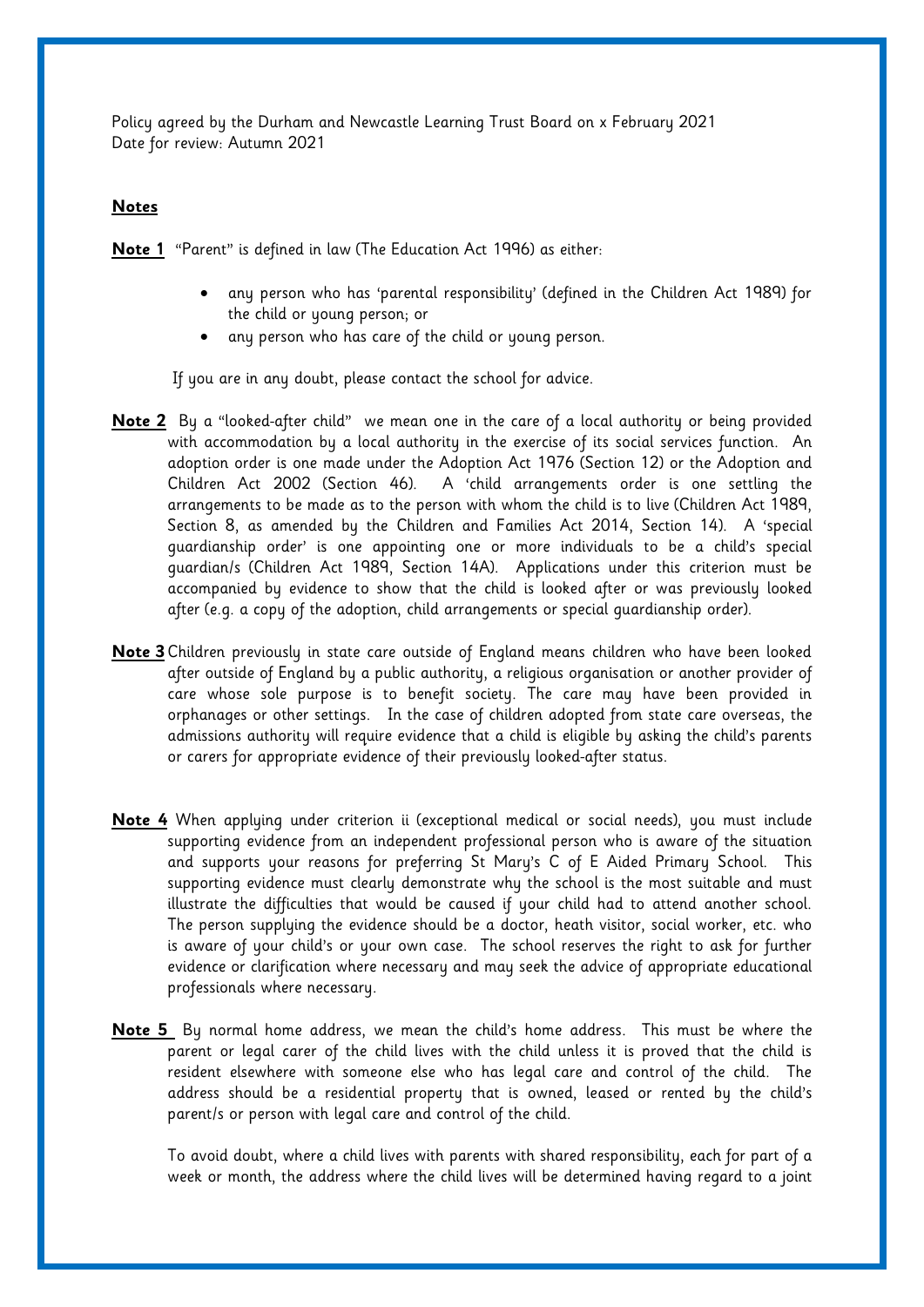Policy agreed by the Durham and Newcastle Learning Trust Board on x February 2021 Date for review: Autumn 2021

## **Notes**

**Note 1** "Parent" is defined in law (The Education Act 1996) as either:

- any person who has 'parental responsibility' (defined in the Children Act 1989) for the child or young person; or
- any person who has care of the child or young person.

If you are in any doubt, please contact the school for advice.

- **Note 2** By a "looked-after child" we mean one in the care of a local authority or being provided with accommodation by a local authority in the exercise of its social services function. An adoption order is one made under the Adoption Act 1976 (Section 12) or the Adoption and Children Act 2002 (Section 46). A 'child arrangements order is one settling the arrangements to be made as to the person with whom the child is to live (Children Act 1989, Section 8, as amended by the Children and Families Act 2014, Section 14). A 'special guardianship order' is one appointing one or more individuals to be a child's special guardian/s (Children Act 1989, Section 14A). Applications under this criterion must be accompanied by evidence to show that the child is looked after or was previously looked after (e.g. a copy of the adoption, child arrangements or special guardianship order).
- **Note 3** Children previously in state care outside of England means children who have been looked after outside of England by a public authority, a religious organisation or another provider of care whose sole purpose is to benefit society. The care may have been provided in orphanages or other settings. In the case of children adopted from state care overseas, the admissions authority will require evidence that a child is eligible by asking the child's parents or carers for appropriate evidence of their previously looked-after status.
- **Note 4** When applying under criterion ii (exceptional medical or social needs), you must include supporting evidence from an independent professional person who is aware of the situation and supports your reasons for preferring St Mary's C of E Aided Primary School. This supporting evidence must clearly demonstrate why the school is the most suitable and must illustrate the difficulties that would be caused if your child had to attend another school. The person supplying the evidence should be a doctor, heath visitor, social worker, etc. who is aware of your child's or your own case. The school reserves the right to ask for further evidence or clarification where necessary and may seek the advice of appropriate educational professionals where necessary.
- **Note 5** By normal home address, we mean the child's home address. This must be where the parent or legal carer of the child lives with the child unless it is proved that the child is resident elsewhere with someone else who has legal care and control of the child. The address should be a residential property that is owned, leased or rented by the child's parent/s or person with legal care and control of the child.

To avoid doubt, where a child lives with parents with shared responsibility, each for part of a week or month, the address where the child lives will be determined having regard to a joint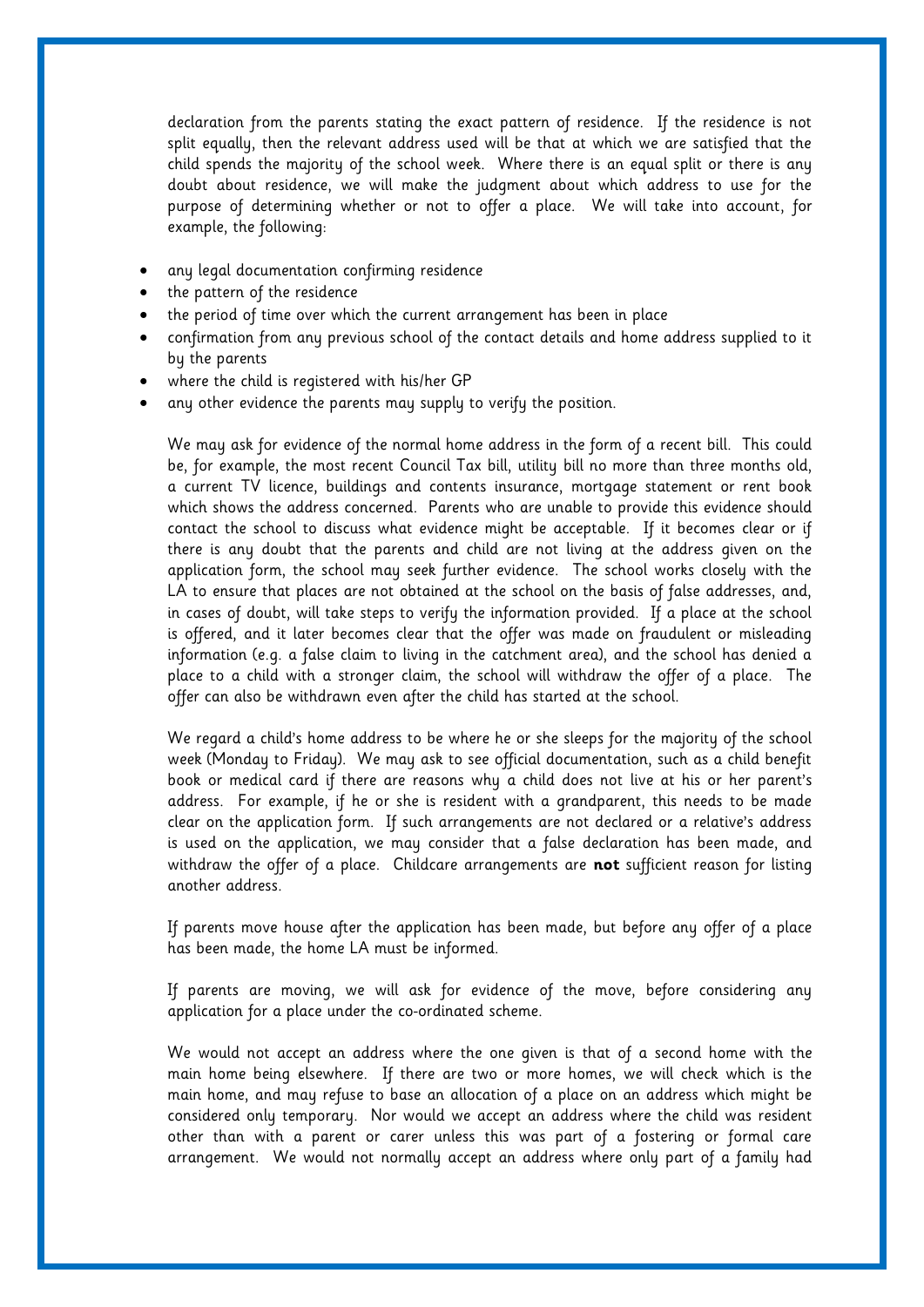declaration from the parents stating the exact pattern of residence. If the residence is not split equally, then the relevant address used will be that at which we are satisfied that the child spends the majority of the school week. Where there is an equal split or there is any doubt about residence, we will make the judgment about which address to use for the purpose of determining whether or not to offer a place. We will take into account, for example, the following:

- any legal documentation confirming residence
- the pattern of the residence
- the period of time over which the current arrangement has been in place
- confirmation from any previous school of the contact details and home address supplied to it by the parents
- where the child is registered with his/her GP
- any other evidence the parents may supply to verify the position.

We may ask for evidence of the normal home address in the form of a recent bill. This could be, for example, the most recent Council Tax bill, utility bill no more than three months old, a current TV licence, buildings and contents insurance, mortgage statement or rent book which shows the address concerned. Parents who are unable to provide this evidence should contact the school to discuss what evidence might be acceptable. If it becomes clear or if there is any doubt that the parents and child are not living at the address given on the application form, the school may seek further evidence. The school works closely with the LA to ensure that places are not obtained at the school on the basis of false addresses, and, in cases of doubt, will take steps to verify the information provided. If a place at the school is offered, and it later becomes clear that the offer was made on fraudulent or misleading information (e.g. a false claim to living in the catchment area), and the school has denied a place to a child with a stronger claim, the school will withdraw the offer of a place. The offer can also be withdrawn even after the child has started at the school.

We regard a child's home address to be where he or she sleeps for the majority of the school week (Monday to Friday). We may ask to see official documentation, such as a child benefit book or medical card if there are reasons why a child does not live at his or her parent's address. For example, if he or she is resident with a grandparent, this needs to be made clear on the application form. If such arrangements are not declared or a relative's address is used on the application, we may consider that a false declaration has been made, and withdraw the offer of a place. Childcare arrangements are **not** sufficient reason for listing another address.

If parents move house after the application has been made, but before any offer of a place has been made, the home LA must be informed.

If parents are moving, we will ask for evidence of the move, before considering any application for a place under the co-ordinated scheme.

We would not accept an address where the one given is that of a second home with the main home being elsewhere. If there are two or more homes, we will check which is the main home, and may refuse to base an allocation of a place on an address which might be considered only temporary. Nor would we accept an address where the child was resident other than with a parent or carer unless this was part of a fostering or formal care arrangement. We would not normally accept an address where only part of a family had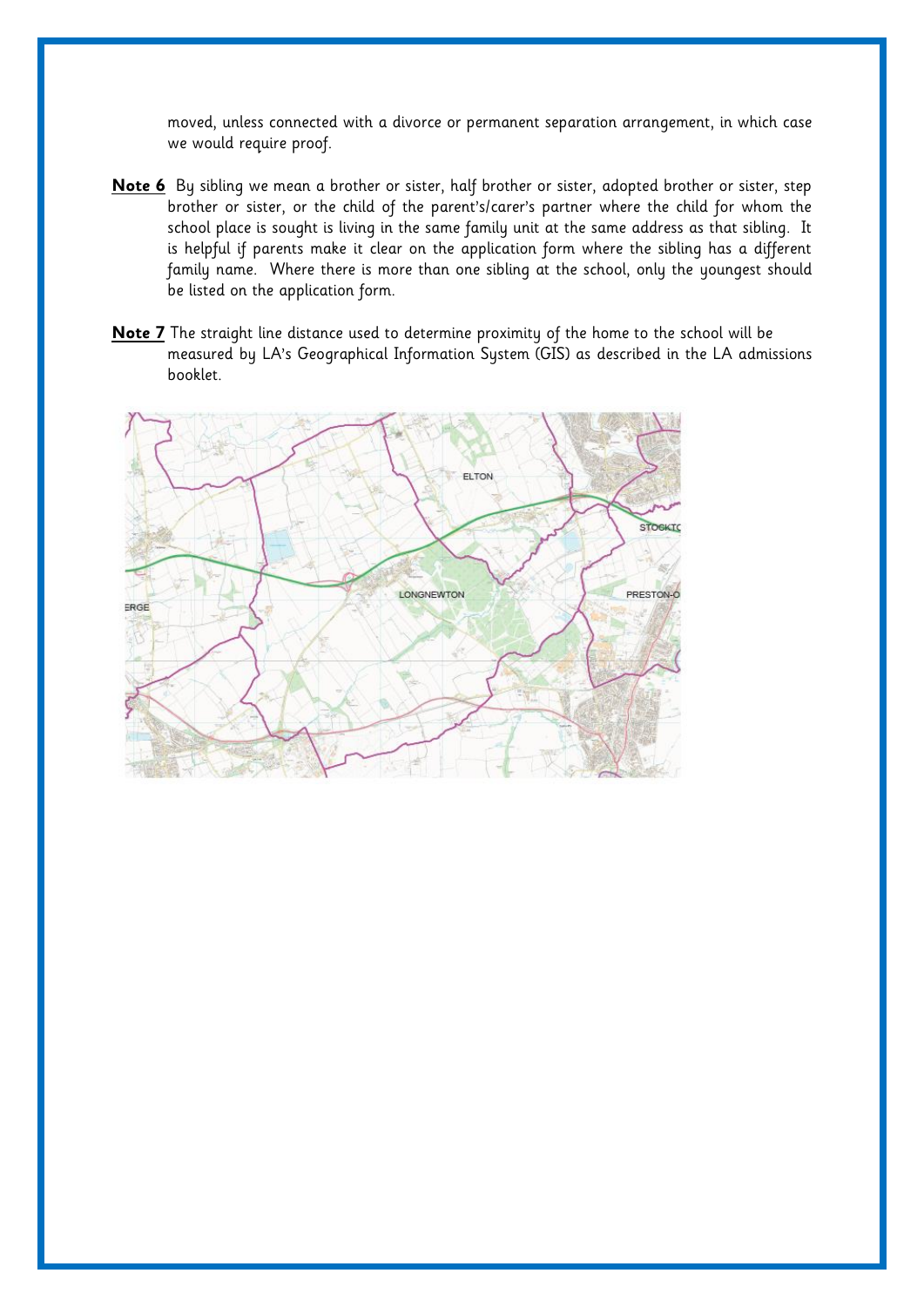moved, unless connected with a divorce or permanent separation arrangement, in which case we would require proof.

- **Note 6** By sibling we mean a brother or sister, half brother or sister, adopted brother or sister, step brother or sister, or the child of the parent's/carer's partner where the child for whom the school place is sought is living in the same family unit at the same address as that sibling. It is helpful if parents make it clear on the application form where the sibling has a different family name. Where there is more than one sibling at the school, only the youngest should be listed on the application form.
- **Note 7** The straight line distance used to determine proximity of the home to the school will be measured by LA's Geographical Information System (GIS) as described in the LA admissions booklet.